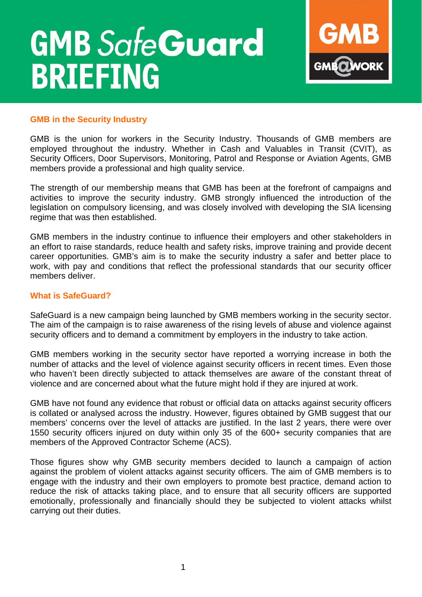# **GMB SafeGuard BRIEFING**



## **GMB in the Security Industry**

GMB is the union for workers in the Security Industry. Thousands of GMB members are employed throughout the industry. Whether in Cash and Valuables in Transit (CVIT), as Security Officers, Door Supervisors, Monitoring, Patrol and Response or Aviation Agents, GMB members provide a professional and high quality service.

The strength of our membership means that GMB has been at the forefront of campaigns and activities to improve the security industry. GMB strongly influenced the introduction of the legislation on compulsory licensing, and was closely involved with developing the SIA licensing regime that was then established.

GMB members in the industry continue to influence their employers and other stakeholders in an effort to raise standards, reduce health and safety risks, improve training and provide decent career opportunities. GMB's aim is to make the security industry a safer and better place to work, with pay and conditions that reflect the professional standards that our security officer members deliver.

#### **What is SafeGuard?**

SafeGuard is a new campaign being launched by GMB members working in the security sector. The aim of the campaign is to raise awareness of the rising levels of abuse and violence against security officers and to demand a commitment by employers in the industry to take action.

GMB members working in the security sector have reported a worrying increase in both the number of attacks and the level of violence against security officers in recent times. Even those who haven't been directly subjected to attack themselves are aware of the constant threat of violence and are concerned about what the future might hold if they are injured at work.

GMB have not found any evidence that robust or official data on attacks against security officers is collated or analysed across the industry. However, figures obtained by GMB suggest that our members' concerns over the level of attacks are justified. In the last 2 years, there were over 1550 security officers injured on duty within only 35 of the 600+ security companies that are members of the Approved Contractor Scheme (ACS).

Those figures show why GMB security members decided to launch a campaign of action against the problem of violent attacks against security officers. The aim of GMB members is to engage with the industry and their own employers to promote best practice, demand action to reduce the risk of attacks taking place, and to ensure that all security officers are supported emotionally, professionally and financially should they be subjected to violent attacks whilst carrying out their duties.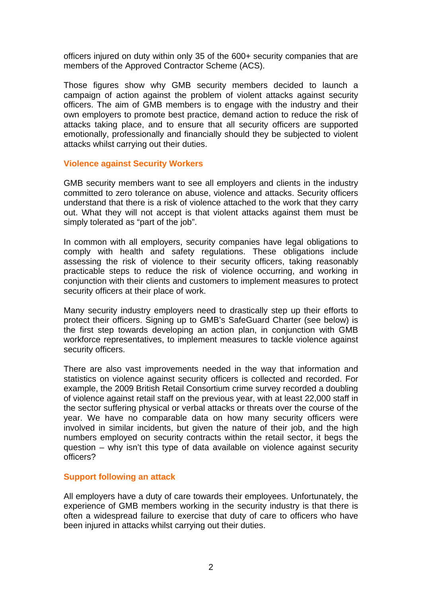officers injured on duty within only 35 of the 600+ security companies that are members of the Approved Contractor Scheme (ACS).

Those figures show why GMB security members decided to launch a campaign of action against the problem of violent attacks against security officers. The aim of GMB members is to engage with the industry and their own employers to promote best practice, demand action to reduce the risk of attacks taking place, and to ensure that all security officers are supported emotionally, professionally and financially should they be subjected to violent attacks whilst carrying out their duties.

#### **Violence against Security Workers**

GMB security members want to see all employers and clients in the industry committed to zero tolerance on abuse, violence and attacks. Security officers understand that there is a risk of violence attached to the work that they carry out. What they will not accept is that violent attacks against them must be simply tolerated as "part of the job".

In common with all employers, security companies have legal obligations to comply with health and safety regulations. These obligations include assessing the risk of violence to their security officers, taking reasonably practicable steps to reduce the risk of violence occurring, and working in conjunction with their clients and customers to implement measures to protect security officers at their place of work.

Many security industry employers need to drastically step up their efforts to protect their officers. Signing up to GMB's SafeGuard Charter (see below) is the first step towards developing an action plan, in conjunction with GMB workforce representatives, to implement measures to tackle violence against security officers.

There are also vast improvements needed in the way that information and statistics on violence against security officers is collected and recorded. For example, the 2009 British Retail Consortium crime survey recorded a doubling of violence against retail staff on the previous year, with at least 22,000 staff in the sector suffering physical or verbal attacks or threats over the course of the year. We have no comparable data on how many security officers were involved in similar incidents, but given the nature of their job, and the high numbers employed on security contracts within the retail sector, it begs the question – why isn't this type of data available on violence against security officers?

#### **Support following an attack**

All employers have a duty of care towards their employees. Unfortunately, the experience of GMB members working in the security industry is that there is often a widespread failure to exercise that duty of care to officers who have been injured in attacks whilst carrying out their duties.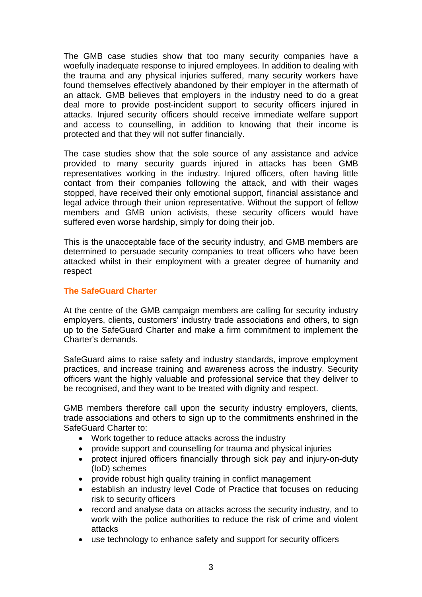The GMB case studies show that too many security companies have a woefully inadequate response to injured employees. In addition to dealing with the trauma and any physical injuries suffered, many security workers have found themselves effectively abandoned by their employer in the aftermath of an attack. GMB believes that employers in the industry need to do a great deal more to provide post-incident support to security officers injured in attacks. Injured security officers should receive immediate welfare support and access to counselling, in addition to knowing that their income is protected and that they will not suffer financially.

The case studies show that the sole source of any assistance and advice provided to many security guards injured in attacks has been GMB representatives working in the industry. Injured officers, often having little contact from their companies following the attack, and with their wages stopped, have received their only emotional support, financial assistance and legal advice through their union representative. Without the support of fellow members and GMB union activists, these security officers would have suffered even worse hardship, simply for doing their job.

This is the unacceptable face of the security industry, and GMB members are determined to persuade security companies to treat officers who have been attacked whilst in their employment with a greater degree of humanity and respect

#### **The SafeGuard Charter**

At the centre of the GMB campaign members are calling for security industry employers, clients, customers' industry trade associations and others, to sign up to the SafeGuard Charter and make a firm commitment to implement the Charter's demands.

SafeGuard aims to raise safety and industry standards, improve employment practices, and increase training and awareness across the industry. Security officers want the highly valuable and professional service that they deliver to be recognised, and they want to be treated with dignity and respect.

GMB members therefore call upon the security industry employers, clients, trade associations and others to sign up to the commitments enshrined in the SafeGuard Charter to:

- Work together to reduce attacks across the industry
- provide support and counselling for trauma and physical injuries
- protect injured officers financially through sick pay and injury-on-duty (IoD) schemes
- provide robust high quality training in conflict management
- establish an industry level Code of Practice that focuses on reducing risk to security officers
- record and analyse data on attacks across the security industry, and to work with the police authorities to reduce the risk of crime and violent attacks
- use technology to enhance safety and support for security officers